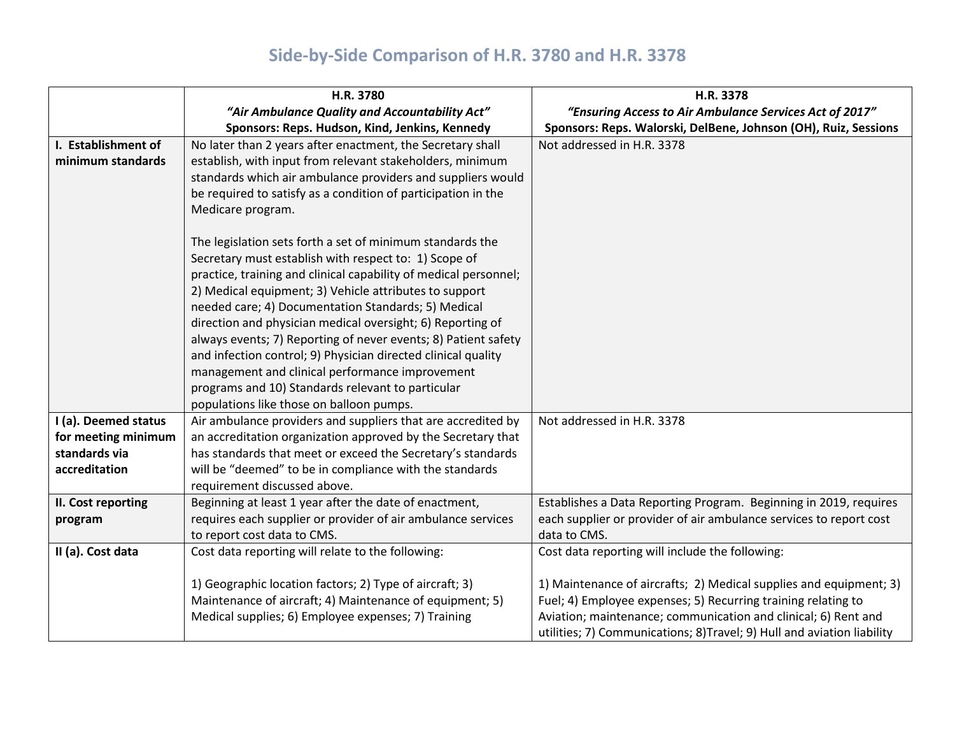|                      | H.R. 3780                                                        | H.R. 3378                                                               |
|----------------------|------------------------------------------------------------------|-------------------------------------------------------------------------|
|                      | "Air Ambulance Quality and Accountability Act"                   | "Ensuring Access to Air Ambulance Services Act of 2017"                 |
|                      | Sponsors: Reps. Hudson, Kind, Jenkins, Kennedy                   | Sponsors: Reps. Walorski, DelBene, Johnson (OH), Ruiz, Sessions         |
| I. Establishment of  | No later than 2 years after enactment, the Secretary shall       | Not addressed in H.R. 3378                                              |
| minimum standards    | establish, with input from relevant stakeholders, minimum        |                                                                         |
|                      | standards which air ambulance providers and suppliers would      |                                                                         |
|                      | be required to satisfy as a condition of participation in the    |                                                                         |
|                      | Medicare program.                                                |                                                                         |
|                      |                                                                  |                                                                         |
|                      | The legislation sets forth a set of minimum standards the        |                                                                         |
|                      | Secretary must establish with respect to: 1) Scope of            |                                                                         |
|                      | practice, training and clinical capability of medical personnel; |                                                                         |
|                      | 2) Medical equipment; 3) Vehicle attributes to support           |                                                                         |
|                      | needed care; 4) Documentation Standards; 5) Medical              |                                                                         |
|                      | direction and physician medical oversight; 6) Reporting of       |                                                                         |
|                      | always events; 7) Reporting of never events; 8) Patient safety   |                                                                         |
|                      | and infection control; 9) Physician directed clinical quality    |                                                                         |
|                      | management and clinical performance improvement                  |                                                                         |
|                      | programs and 10) Standards relevant to particular                |                                                                         |
|                      | populations like those on balloon pumps.                         |                                                                         |
| I (a). Deemed status | Air ambulance providers and suppliers that are accredited by     | Not addressed in H.R. 3378                                              |
| for meeting minimum  | an accreditation organization approved by the Secretary that     |                                                                         |
| standards via        | has standards that meet or exceed the Secretary's standards      |                                                                         |
| accreditation        | will be "deemed" to be in compliance with the standards          |                                                                         |
|                      | requirement discussed above.                                     |                                                                         |
| II. Cost reporting   | Beginning at least 1 year after the date of enactment,           | Establishes a Data Reporting Program. Beginning in 2019, requires       |
| program              | requires each supplier or provider of air ambulance services     | each supplier or provider of air ambulance services to report cost      |
|                      | to report cost data to CMS.                                      | data to CMS.                                                            |
| II (a). Cost data    | Cost data reporting will relate to the following:                | Cost data reporting will include the following:                         |
|                      |                                                                  |                                                                         |
|                      | 1) Geographic location factors; 2) Type of aircraft; 3)          | 1) Maintenance of aircrafts; 2) Medical supplies and equipment; 3)      |
|                      | Maintenance of aircraft; 4) Maintenance of equipment; 5)         | Fuel; 4) Employee expenses; 5) Recurring training relating to           |
|                      | Medical supplies; 6) Employee expenses; 7) Training              | Aviation; maintenance; communication and clinical; 6) Rent and          |
|                      |                                                                  | utilities; 7) Communications; 8) Travel; 9) Hull and aviation liability |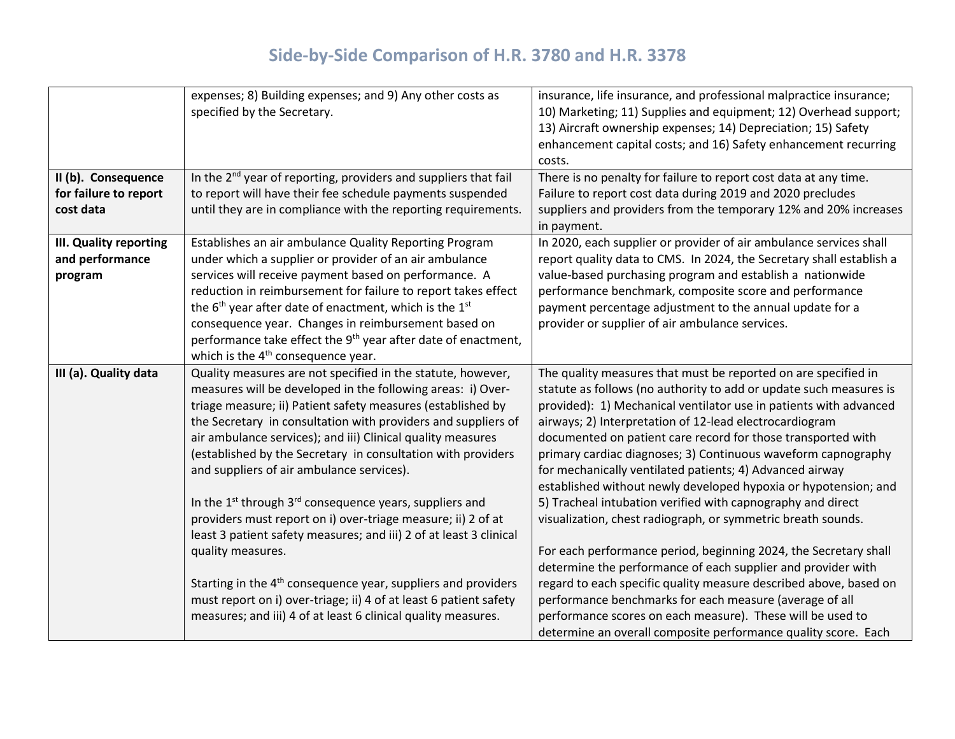| II (b). Consequence    | expenses; 8) Building expenses; and 9) Any other costs as<br>specified by the Secretary.<br>In the 2 <sup>nd</sup> year of reporting, providers and suppliers that fail                                                                                                                                                                                                                                                                | insurance, life insurance, and professional malpractice insurance;<br>10) Marketing; 11) Supplies and equipment; 12) Overhead support;<br>13) Aircraft ownership expenses; 14) Depreciation; 15) Safety<br>enhancement capital costs; and 16) Safety enhancement recurring<br>costs.<br>There is no penalty for failure to report cost data at any time.                                                                                                                                                                             |
|------------------------|----------------------------------------------------------------------------------------------------------------------------------------------------------------------------------------------------------------------------------------------------------------------------------------------------------------------------------------------------------------------------------------------------------------------------------------|--------------------------------------------------------------------------------------------------------------------------------------------------------------------------------------------------------------------------------------------------------------------------------------------------------------------------------------------------------------------------------------------------------------------------------------------------------------------------------------------------------------------------------------|
| for failure to report  | to report will have their fee schedule payments suspended                                                                                                                                                                                                                                                                                                                                                                              | Failure to report cost data during 2019 and 2020 precludes                                                                                                                                                                                                                                                                                                                                                                                                                                                                           |
| cost data              | until they are in compliance with the reporting requirements.                                                                                                                                                                                                                                                                                                                                                                          | suppliers and providers from the temporary 12% and 20% increases<br>in payment.                                                                                                                                                                                                                                                                                                                                                                                                                                                      |
| III. Quality reporting | Establishes an air ambulance Quality Reporting Program                                                                                                                                                                                                                                                                                                                                                                                 | In 2020, each supplier or provider of air ambulance services shall                                                                                                                                                                                                                                                                                                                                                                                                                                                                   |
| and performance        | under which a supplier or provider of an air ambulance                                                                                                                                                                                                                                                                                                                                                                                 | report quality data to CMS. In 2024, the Secretary shall establish a                                                                                                                                                                                                                                                                                                                                                                                                                                                                 |
| program                | services will receive payment based on performance. A                                                                                                                                                                                                                                                                                                                                                                                  | value-based purchasing program and establish a nationwide                                                                                                                                                                                                                                                                                                                                                                                                                                                                            |
|                        | reduction in reimbursement for failure to report takes effect                                                                                                                                                                                                                                                                                                                                                                          | performance benchmark, composite score and performance                                                                                                                                                                                                                                                                                                                                                                                                                                                                               |
|                        | the 6 <sup>th</sup> year after date of enactment, which is the 1 <sup>st</sup><br>consequence year. Changes in reimbursement based on                                                                                                                                                                                                                                                                                                  | payment percentage adjustment to the annual update for a<br>provider or supplier of air ambulance services.                                                                                                                                                                                                                                                                                                                                                                                                                          |
|                        | performance take effect the 9 <sup>th</sup> year after date of enactment,                                                                                                                                                                                                                                                                                                                                                              |                                                                                                                                                                                                                                                                                                                                                                                                                                                                                                                                      |
|                        | which is the 4 <sup>th</sup> consequence year.                                                                                                                                                                                                                                                                                                                                                                                         |                                                                                                                                                                                                                                                                                                                                                                                                                                                                                                                                      |
| III (a). Quality data  | Quality measures are not specified in the statute, however,<br>measures will be developed in the following areas: i) Over-<br>triage measure; ii) Patient safety measures (established by<br>the Secretary in consultation with providers and suppliers of<br>air ambulance services); and iii) Clinical quality measures<br>(established by the Secretary in consultation with providers<br>and suppliers of air ambulance services). | The quality measures that must be reported on are specified in<br>statute as follows (no authority to add or update such measures is<br>provided): 1) Mechanical ventilator use in patients with advanced<br>airways; 2) Interpretation of 12-lead electrocardiogram<br>documented on patient care record for those transported with<br>primary cardiac diagnoses; 3) Continuous waveform capnography<br>for mechanically ventilated patients; 4) Advanced airway<br>established without newly developed hypoxia or hypotension; and |
|                        | In the 1 <sup>st</sup> through 3 <sup>rd</sup> consequence years, suppliers and<br>providers must report on i) over-triage measure; ii) 2 of at<br>least 3 patient safety measures; and iii) 2 of at least 3 clinical                                                                                                                                                                                                                  | 5) Tracheal intubation verified with capnography and direct<br>visualization, chest radiograph, or symmetric breath sounds.                                                                                                                                                                                                                                                                                                                                                                                                          |
|                        | quality measures.                                                                                                                                                                                                                                                                                                                                                                                                                      | For each performance period, beginning 2024, the Secretary shall<br>determine the performance of each supplier and provider with                                                                                                                                                                                                                                                                                                                                                                                                     |
|                        | Starting in the 4 <sup>th</sup> consequence year, suppliers and providers                                                                                                                                                                                                                                                                                                                                                              | regard to each specific quality measure described above, based on                                                                                                                                                                                                                                                                                                                                                                                                                                                                    |
|                        | must report on i) over-triage; ii) 4 of at least 6 patient safety                                                                                                                                                                                                                                                                                                                                                                      | performance benchmarks for each measure (average of all                                                                                                                                                                                                                                                                                                                                                                                                                                                                              |
|                        | measures; and iii) 4 of at least 6 clinical quality measures.                                                                                                                                                                                                                                                                                                                                                                          | performance scores on each measure). These will be used to<br>determine an overall composite performance quality score. Each                                                                                                                                                                                                                                                                                                                                                                                                         |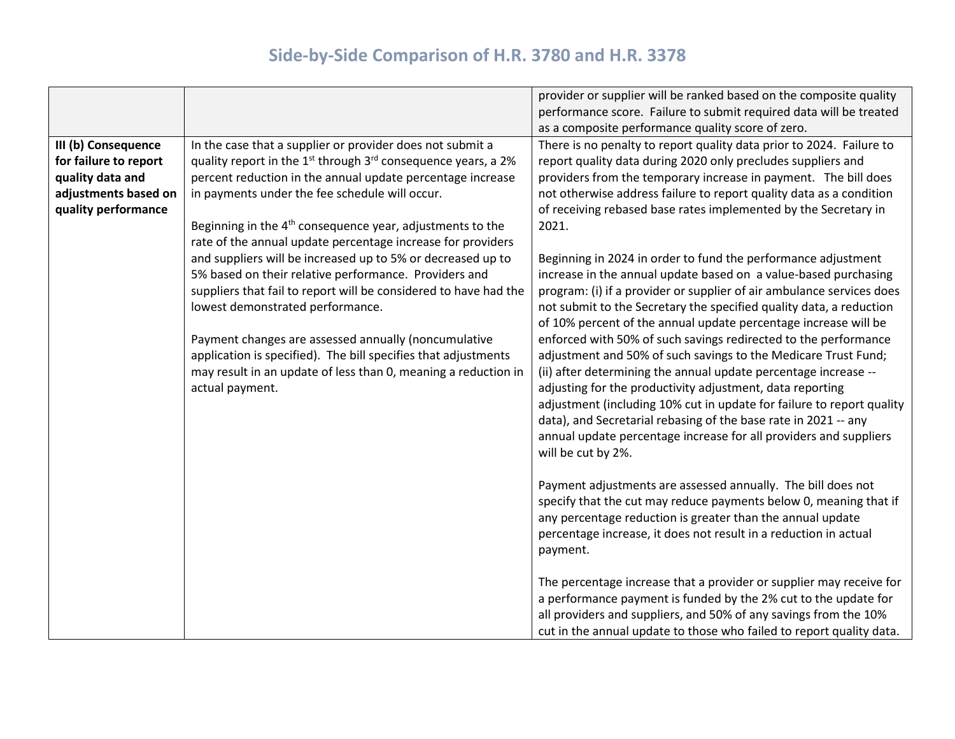|                                                                                                                 |                                                                                                                                                                                                                                                                                                                                                                                                                                             | provider or supplier will be ranked based on the composite quality<br>performance score. Failure to submit required data will be treated<br>as a composite performance quality score of zero.                                                                                                                                                                                                                                                                                                                                                                                                                                                                                                                                                                                                                                                                   |
|-----------------------------------------------------------------------------------------------------------------|---------------------------------------------------------------------------------------------------------------------------------------------------------------------------------------------------------------------------------------------------------------------------------------------------------------------------------------------------------------------------------------------------------------------------------------------|-----------------------------------------------------------------------------------------------------------------------------------------------------------------------------------------------------------------------------------------------------------------------------------------------------------------------------------------------------------------------------------------------------------------------------------------------------------------------------------------------------------------------------------------------------------------------------------------------------------------------------------------------------------------------------------------------------------------------------------------------------------------------------------------------------------------------------------------------------------------|
| III (b) Consequence<br>for failure to report<br>quality data and<br>adjustments based on<br>quality performance | In the case that a supplier or provider does not submit a<br>quality report in the 1 <sup>st</sup> through 3 <sup>rd</sup> consequence years, a 2%<br>percent reduction in the annual update percentage increase<br>in payments under the fee schedule will occur.<br>Beginning in the 4 <sup>th</sup> consequence year, adjustments to the<br>rate of the annual update percentage increase for providers                                  | There is no penalty to report quality data prior to 2024. Failure to<br>report quality data during 2020 only precludes suppliers and<br>providers from the temporary increase in payment. The bill does<br>not otherwise address failure to report quality data as a condition<br>of receiving rebased base rates implemented by the Secretary in<br>2021.                                                                                                                                                                                                                                                                                                                                                                                                                                                                                                      |
|                                                                                                                 | and suppliers will be increased up to 5% or decreased up to<br>5% based on their relative performance. Providers and<br>suppliers that fail to report will be considered to have had the<br>lowest demonstrated performance.<br>Payment changes are assessed annually (noncumulative<br>application is specified). The bill specifies that adjustments<br>may result in an update of less than 0, meaning a reduction in<br>actual payment. | Beginning in 2024 in order to fund the performance adjustment<br>increase in the annual update based on a value-based purchasing<br>program: (i) if a provider or supplier of air ambulance services does<br>not submit to the Secretary the specified quality data, a reduction<br>of 10% percent of the annual update percentage increase will be<br>enforced with 50% of such savings redirected to the performance<br>adjustment and 50% of such savings to the Medicare Trust Fund;<br>(ii) after determining the annual update percentage increase --<br>adjusting for the productivity adjustment, data reporting<br>adjustment (including 10% cut in update for failure to report quality<br>data), and Secretarial rebasing of the base rate in 2021 -- any<br>annual update percentage increase for all providers and suppliers<br>will be cut by 2%. |
|                                                                                                                 |                                                                                                                                                                                                                                                                                                                                                                                                                                             | Payment adjustments are assessed annually. The bill does not<br>specify that the cut may reduce payments below 0, meaning that if<br>any percentage reduction is greater than the annual update<br>percentage increase, it does not result in a reduction in actual<br>payment.                                                                                                                                                                                                                                                                                                                                                                                                                                                                                                                                                                                 |
|                                                                                                                 |                                                                                                                                                                                                                                                                                                                                                                                                                                             | The percentage increase that a provider or supplier may receive for<br>a performance payment is funded by the 2% cut to the update for<br>all providers and suppliers, and 50% of any savings from the 10%<br>cut in the annual update to those who failed to report quality data.                                                                                                                                                                                                                                                                                                                                                                                                                                                                                                                                                                              |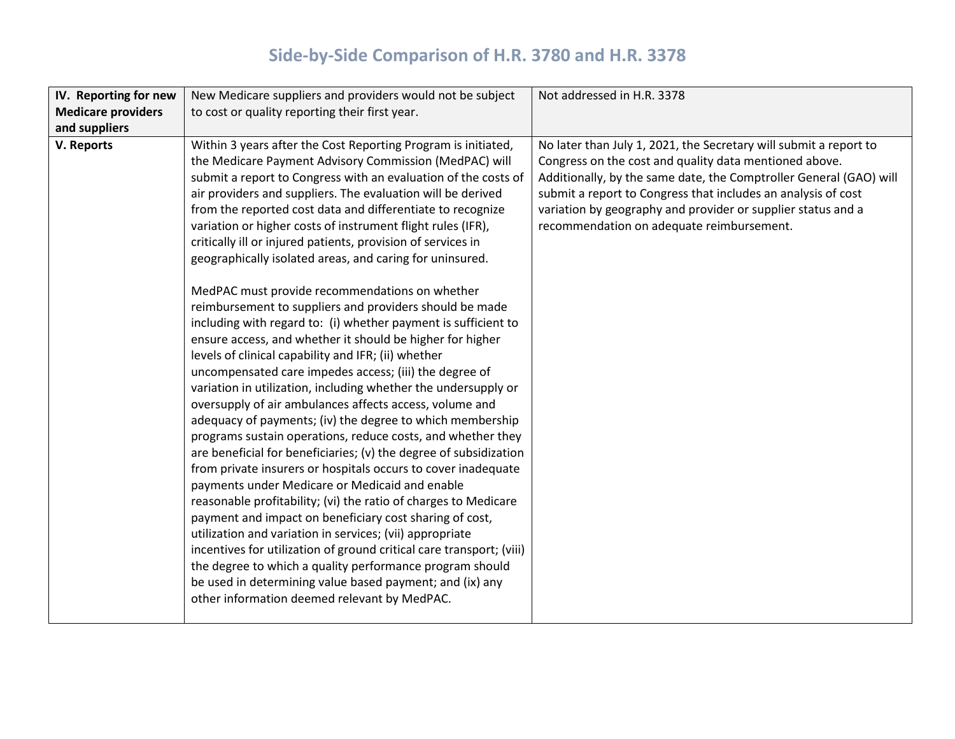| Within 3 years after the Cost Reporting Program is initiated,<br>V. Reports<br>No later than July 1, 2021, the Secretary will submit a report to<br>the Medicare Payment Advisory Commission (MedPAC) will<br>Congress on the cost and quality data mentioned above.<br>submit a report to Congress with an evaluation of the costs of<br>Additionally, by the same date, the Comptroller General (GAO) will<br>air providers and suppliers. The evaluation will be derived<br>submit a report to Congress that includes an analysis of cost<br>from the reported cost data and differentiate to recognize<br>variation by geography and provider or supplier status and a<br>variation or higher costs of instrument flight rules (IFR),<br>recommendation on adequate reimbursement.<br>critically ill or injured patients, provision of services in<br>geographically isolated areas, and caring for uninsured.<br>MedPAC must provide recommendations on whether<br>reimbursement to suppliers and providers should be made<br>including with regard to: (i) whether payment is sufficient to<br>ensure access, and whether it should be higher for higher<br>levels of clinical capability and IFR; (ii) whether<br>uncompensated care impedes access; (iii) the degree of<br>variation in utilization, including whether the undersupply or<br>oversupply of air ambulances affects access, volume and<br>adequacy of payments; (iv) the degree to which membership<br>programs sustain operations, reduce costs, and whether they<br>are beneficial for beneficiaries; (v) the degree of subsidization<br>from private insurers or hospitals occurs to cover inadequate<br>payments under Medicare or Medicaid and enable<br>reasonable profitability; (vi) the ratio of charges to Medicare<br>payment and impact on beneficiary cost sharing of cost,<br>utilization and variation in services; (vii) appropriate<br>incentives for utilization of ground critical care transport; (viii)<br>the degree to which a quality performance program should<br>be used in determining value based payment; and (ix) any | IV. Reporting for new<br><b>Medicare providers</b><br>and suppliers | New Medicare suppliers and providers would not be subject<br>to cost or quality reporting their first year. | Not addressed in H.R. 3378 |
|----------------------------------------------------------------------------------------------------------------------------------------------------------------------------------------------------------------------------------------------------------------------------------------------------------------------------------------------------------------------------------------------------------------------------------------------------------------------------------------------------------------------------------------------------------------------------------------------------------------------------------------------------------------------------------------------------------------------------------------------------------------------------------------------------------------------------------------------------------------------------------------------------------------------------------------------------------------------------------------------------------------------------------------------------------------------------------------------------------------------------------------------------------------------------------------------------------------------------------------------------------------------------------------------------------------------------------------------------------------------------------------------------------------------------------------------------------------------------------------------------------------------------------------------------------------------------------------------------------------------------------------------------------------------------------------------------------------------------------------------------------------------------------------------------------------------------------------------------------------------------------------------------------------------------------------------------------------------------------------------------------------------------------------------------------------------------------------------------------------------------|---------------------------------------------------------------------|-------------------------------------------------------------------------------------------------------------|----------------------------|
|                                                                                                                                                                                                                                                                                                                                                                                                                                                                                                                                                                                                                                                                                                                                                                                                                                                                                                                                                                                                                                                                                                                                                                                                                                                                                                                                                                                                                                                                                                                                                                                                                                                                                                                                                                                                                                                                                                                                                                                                                                                                                                                            |                                                                     | other information deemed relevant by MedPAC.                                                                |                            |